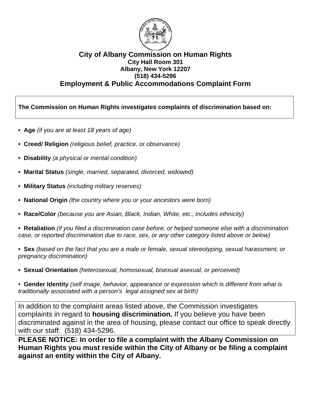

#### **City of Albany Commission on Human Rights City Hall Room 301 Albany, New York 12207 (518) 434-5296 Employment & Public Accommodations Complaint Form**

**The Commission on Human Rights investigates complaints of discrimination based on:** 

- **Age** *(if you are at least 18 years of age)*
- **Creed/ Religion** *(religious belief, practice, or observance)*
- **Disability** *(a physical or mental condition)*
- **Marital Status** *(single, married, separated, divorced, widowed)*
- **Military Status** *(including military reserves)*
- **National Origin** *(the country where you or your ancestors were born)*
- **Race/Color** *(because you are Asian, Black, Indian, White, etc.; includes ethnicity)*

**• Retaliation** *(if you filed a discrimination case before, or helped someone else with a discrimination case, or reported discrimination due to race, sex, or any other category listed above or below)*

**• Sex** *(based on the fact that you are a male or female, sexual stereotyping, sexual harassment, or pregnancy discrimination)*

**• Sexual Orientation** *(heterosexual, homosexual, bisexual asexual, or perceived)* 

*•* **Gender Identity** *(self image, behavior, appearance or expression which is different from what is traditionally associated with a person's legal assigned sex at birth)* 

In addition to the complaint areas listed above, the Commission investigates complaints in regard to **housing discrimination.** If you believe you have been discriminated against in the area of housing, please contact our office to speak directly with our staff: (518) 434-5296.

**PLEASE NOTICE: In order to file a complaint with the Albany Commission on Human Rights you must reside within the City of Albany or be filing a complaint against an entity within the City of Albany.**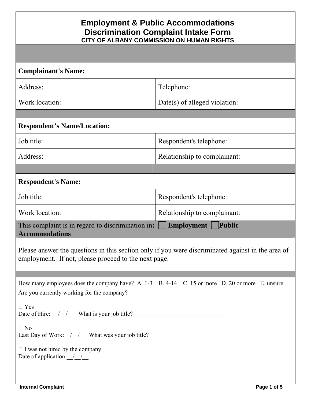| <b>Complainant's Name:</b>                                                                                                                                |                               |  |
|-----------------------------------------------------------------------------------------------------------------------------------------------------------|-------------------------------|--|
| Address:                                                                                                                                                  | Telephone:                    |  |
| Work location:                                                                                                                                            | Date(s) of alleged violation: |  |
|                                                                                                                                                           |                               |  |
| <b>Respondent's Name/Location:</b>                                                                                                                        |                               |  |
| Job title:                                                                                                                                                | Respondent's telephone:       |  |
| Address:                                                                                                                                                  | Relationship to complainant:  |  |
|                                                                                                                                                           |                               |  |
| <b>Respondent's Name:</b>                                                                                                                                 |                               |  |
| Job title:                                                                                                                                                | Respondent's telephone:       |  |
| Work location:                                                                                                                                            | Relationship to complainant:  |  |
| This complaint is in regard to discrimination in:<br><b>Employment</b><br>Public<br><b>Accommodations</b>                                                 |                               |  |
| Please answer the questions in this section only if you were discriminated against in the area of<br>employment. If not, please proceed to the next page. |                               |  |
|                                                                                                                                                           |                               |  |
| How many employees does the company have? A. 1-3 B. 4-14 C. 15 or more D. 20 or more E. unsure<br>Are you currently working for the company?              |                               |  |
| $\Box$ Yes<br>Date of Hire: $\frac{1}{\sqrt{2}}$ What is your job title?                                                                                  |                               |  |
| $\Box$ No<br>Last Day of Work: /// What was your job title?                                                                                               |                               |  |
| $\Box$ I was not hired by the company<br>Date of application: $\frac{1}{2}$                                                                               |                               |  |
|                                                                                                                                                           |                               |  |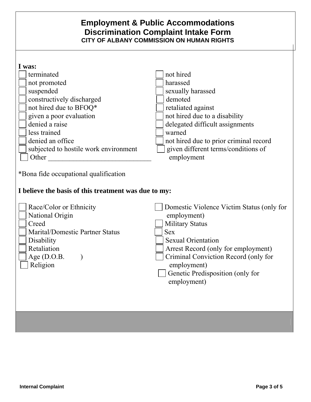| I was:                                                                                                                                           |                                                                                                                                                                                                                                                                                |
|--------------------------------------------------------------------------------------------------------------------------------------------------|--------------------------------------------------------------------------------------------------------------------------------------------------------------------------------------------------------------------------------------------------------------------------------|
| terminated                                                                                                                                       | not hired                                                                                                                                                                                                                                                                      |
| not promoted                                                                                                                                     | harassed                                                                                                                                                                                                                                                                       |
| suspended                                                                                                                                        | sexually harassed                                                                                                                                                                                                                                                              |
| constructively discharged                                                                                                                        | demoted                                                                                                                                                                                                                                                                        |
| not hired due to BFOQ*                                                                                                                           | retaliated against                                                                                                                                                                                                                                                             |
| given a poor evaluation                                                                                                                          | not hired due to a disability                                                                                                                                                                                                                                                  |
| denied a raise                                                                                                                                   | delegated difficult assignments                                                                                                                                                                                                                                                |
| less trained                                                                                                                                     | warned                                                                                                                                                                                                                                                                         |
| denied an office                                                                                                                                 | not hired due to prior criminal record                                                                                                                                                                                                                                         |
| subjected to hostile work environment                                                                                                            | given different terms/conditions of                                                                                                                                                                                                                                            |
| Other                                                                                                                                            | employment                                                                                                                                                                                                                                                                     |
| I believe the basis of this treatment was due to my:                                                                                             |                                                                                                                                                                                                                                                                                |
| Race/Color or Ethnicity<br>National Origin<br>Creed<br>Marital/Domestic Partner Status<br>Disability<br>Retaliation<br>Age $(D.O.B.$<br>Religion | Domestic Violence Victim Status (only for<br>employment)<br><b>Military Status</b><br><b>Sex</b><br><b>Sexual Orientation</b><br>Arrest Record (only for employment)<br>Criminal Conviction Record (only for<br>employment)<br>Genetic Predisposition (only for<br>employment) |
|                                                                                                                                                  |                                                                                                                                                                                                                                                                                |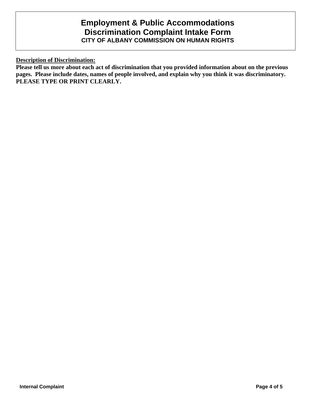**Description of Discrimination:**

**Please tell us more about each act of discrimination that you provided information about on the previous pages. Please include dates, names of people involved, and explain why you think it was discriminatory. PLEASE TYPE OR PRINT CLEARLY.**